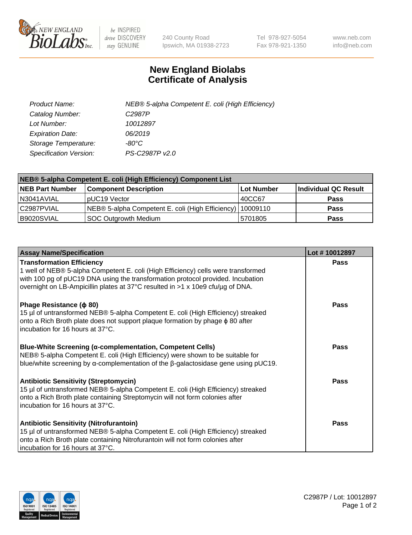

 $be$  INSPIRED drive DISCOVERY stay GENUINE

240 County Road Ipswich, MA 01938-2723 Tel 978-927-5054 Fax 978-921-1350 www.neb.com info@neb.com

## **New England Biolabs Certificate of Analysis**

| Product Name:           | NEB® 5-alpha Competent E. coli (High Efficiency) |
|-------------------------|--------------------------------------------------|
| Catalog Number:         | C <sub>2987</sub> P                              |
| Lot Number:             | 10012897                                         |
| <b>Expiration Date:</b> | 06/2019                                          |
| Storage Temperature:    | -80°C                                            |
| Specification Version:  | PS-C2987P v2.0                                   |

| NEB® 5-alpha Competent E. coli (High Efficiency) Component List |                                                             |            |                      |  |
|-----------------------------------------------------------------|-------------------------------------------------------------|------------|----------------------|--|
| <b>NEB Part Number</b>                                          | <b>Component Description</b>                                | Lot Number | Individual QC Result |  |
| N3041AVIAL                                                      | pUC19 Vector                                                | 40CC67     | <b>Pass</b>          |  |
| C2987PVIAL                                                      | NEB® 5-alpha Competent E. coli (High Efficiency)   10009110 |            | <b>Pass</b>          |  |
| B9020SVIAL                                                      | SOC Outgrowth Medium                                        | 5701805    | <b>Pass</b>          |  |

| <b>Assay Name/Specification</b>                                                                                                                                                                                                                                                            | Lot #10012897 |
|--------------------------------------------------------------------------------------------------------------------------------------------------------------------------------------------------------------------------------------------------------------------------------------------|---------------|
| <b>Transformation Efficiency</b><br>1 well of NEB® 5-alpha Competent E. coli (High Efficiency) cells were transformed<br>with 100 pg of pUC19 DNA using the transformation protocol provided. Incubation<br>overnight on LB-Ampicillin plates at 37°C resulted in >1 x 10e9 cfu/µg of DNA. | <b>Pass</b>   |
| Phage Resistance ( $\phi$ 80)<br>15 µl of untransformed NEB® 5-alpha Competent E. coli (High Efficiency) streaked<br>onto a Rich Broth plate does not support plaque formation by phage $\phi$ 80 after<br>incubation for 16 hours at 37°C.                                                | Pass          |
| Blue-White Screening (α-complementation, Competent Cells)<br>NEB® 5-alpha Competent E. coli (High Efficiency) were shown to be suitable for<br>blue/white screening by $\alpha$ -complementation of the $\beta$ -galactosidase gene using pUC19.                                           | Pass          |
| <b>Antibiotic Sensitivity (Streptomycin)</b><br>15 µl of untransformed NEB® 5-alpha Competent E. coli (High Efficiency) streaked<br>onto a Rich Broth plate containing Streptomycin will not form colonies after<br>incubation for 16 hours at 37°C.                                       | Pass          |
| <b>Antibiotic Sensitivity (Nitrofurantoin)</b><br>15 µl of untransformed NEB® 5-alpha Competent E. coli (High Efficiency) streaked<br>onto a Rich Broth plate containing Nitrofurantoin will not form colonies after<br>incubation for 16 hours at 37°C.                                   | Pass          |